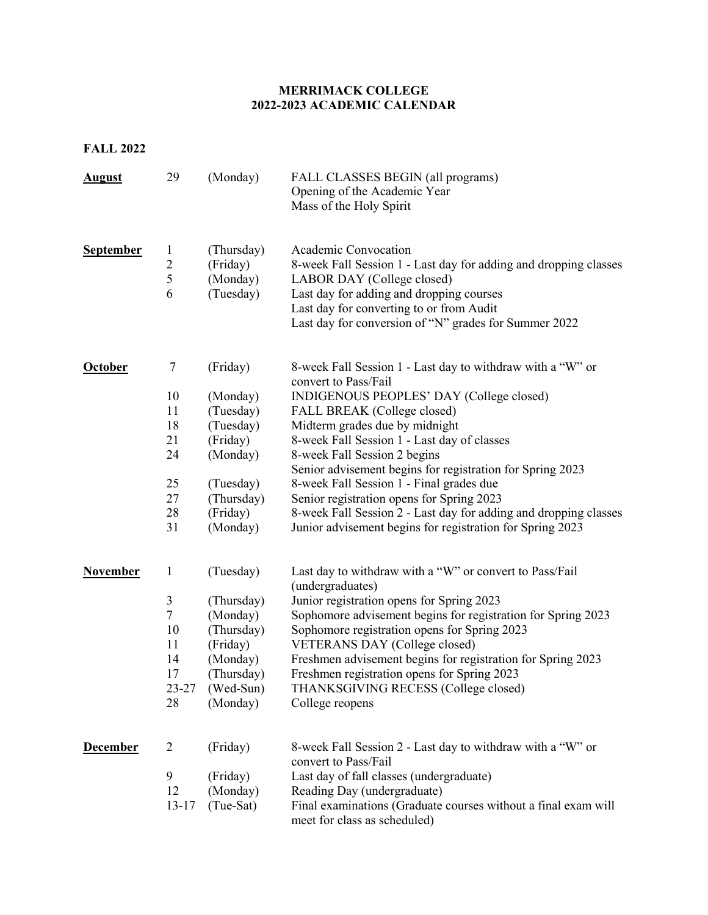## **MERRIMACK COLLEGE 2022-2023 ACADEMIC CALENDAR**

**FALL 2022**

| <b>August</b>    | 29                  | (Monday)              | FALL CLASSES BEGIN (all programs)<br>Opening of the Academic Year<br>Mass of the Holy Spirit   |
|------------------|---------------------|-----------------------|------------------------------------------------------------------------------------------------|
| <b>September</b> | 1                   | (Thursday)            | Academic Convocation                                                                           |
|                  | $\overline{c}$<br>5 | (Friday)              | 8-week Fall Session 1 - Last day for adding and dropping classes                               |
|                  | 6                   | (Monday)<br>(Tuesday) | LABOR DAY (College closed)<br>Last day for adding and dropping courses                         |
|                  |                     |                       | Last day for converting to or from Audit                                                       |
|                  |                     |                       | Last day for conversion of "N" grades for Summer 2022                                          |
| October          | 7                   | (Friday)              | 8-week Fall Session 1 - Last day to withdraw with a "W" or                                     |
|                  |                     |                       | convert to Pass/Fail                                                                           |
|                  | 10                  | (Monday)              | INDIGENOUS PEOPLES' DAY (College closed)                                                       |
|                  | 11                  | (Tuesday)             | FALL BREAK (College closed)                                                                    |
|                  | 18<br>21            | (Tuesday)<br>(Friday) | Midterm grades due by midnight<br>8-week Fall Session 1 - Last day of classes                  |
|                  | 24                  | (Monday)              | 8-week Fall Session 2 begins                                                                   |
|                  |                     |                       | Senior advisement begins for registration for Spring 2023                                      |
|                  | 25                  | (Tuesday)             | 8-week Fall Session 1 - Final grades due                                                       |
|                  | 27                  | (Thursday)            | Senior registration opens for Spring 2023                                                      |
|                  | 28                  | (Friday)              | 8-week Fall Session 2 - Last day for adding and dropping classes                               |
|                  | 31                  | (Monday)              | Junior advisement begins for registration for Spring 2023                                      |
| <b>November</b>  | $\mathbf{1}$        | (Tuesday)             | Last day to withdraw with a "W" or convert to Pass/Fail<br>(undergraduates)                    |
|                  | 3                   | (Thursday)            | Junior registration opens for Spring 2023                                                      |
|                  | $\boldsymbol{7}$    | (Monday)              | Sophomore advisement begins for registration for Spring 2023                                   |
|                  | 10                  | (Thursday)            | Sophomore registration opens for Spring 2023                                                   |
|                  | 11                  | (Friday)              | VETERANS DAY (College closed)                                                                  |
|                  | 14                  | (Monday)              | Freshmen advisement begins for registration for Spring 2023                                    |
|                  | 17                  | (Thursday)            | Freshmen registration opens for Spring 2023                                                    |
|                  | $23 - 27$<br>28     | (Wed-Sun)             | THANKSGIVING RECESS (College closed)                                                           |
|                  |                     | (Monday)              | College reopens                                                                                |
| <b>December</b>  | 2                   | (Friday)              | 8-week Fall Session 2 - Last day to withdraw with a "W" or<br>convert to Pass/Fail             |
|                  | 9                   | (Friday)              | Last day of fall classes (undergraduate)                                                       |
|                  | 12                  | (Monday)              | Reading Day (undergraduate)                                                                    |
|                  | $13 - 17$           | (Tue-Sat)             | Final examinations (Graduate courses without a final exam will<br>meet for class as scheduled) |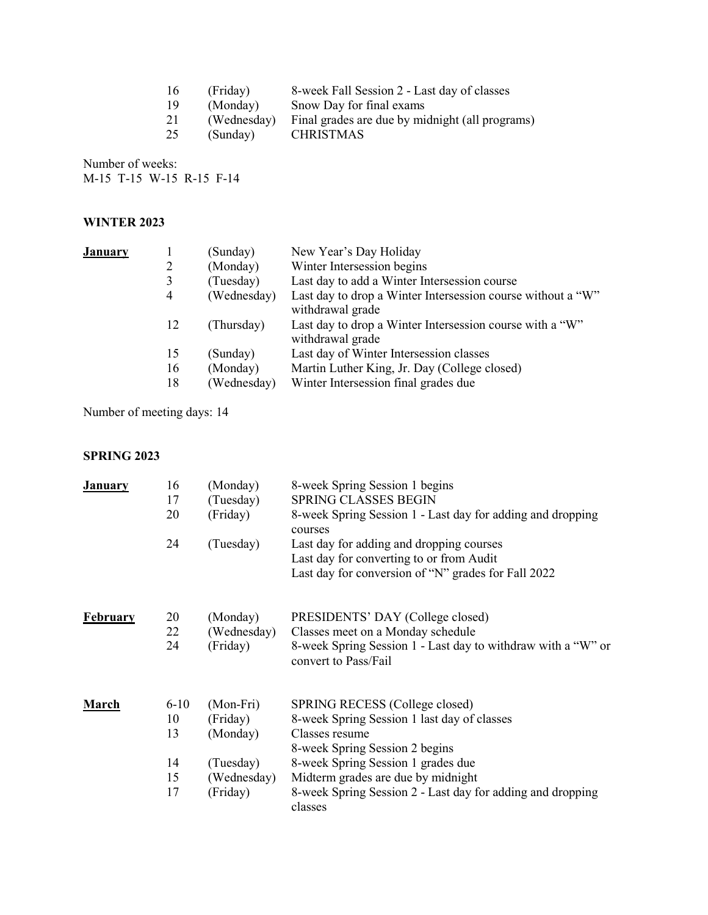| (Friday) | 8-week Fall Session 2 - Last day of classes                 |
|----------|-------------------------------------------------------------|
| (Monday) | Snow Day for final exams                                    |
|          | (Wednesday) Final grades are due by midnight (all programs) |
| (Sundav) | CHRISTMAS                                                   |
|          |                                                             |

Number of weeks: M-15 T-15 W-15 R-15 F-14

## **WINTER 2023**

| <u>January</u> |    | (Sunday)    | New Year's Day Holiday                                                          |
|----------------|----|-------------|---------------------------------------------------------------------------------|
|                | 2  | (Monday)    | Winter Intersession begins                                                      |
|                | 3  | (Tuesday)   | Last day to add a Winter Intersession course                                    |
|                | 4  | (Wednesday) | Last day to drop a Winter Intersession course without a "W"<br>withdrawal grade |
|                | 12 | (Thursday)  | Last day to drop a Winter Intersession course with a "W"<br>withdrawal grade    |
|                | 15 | (Sunday)    | Last day of Winter Intersession classes                                         |
|                | 16 | (Monday)    | Martin Luther King, Jr. Day (College closed)                                    |
|                | 18 | (Wednesday) | Winter Intersession final grades due                                            |
|                |    |             |                                                                                 |

Number of meeting days: 14

## **SPRING 2023**

| <b>January</b>  | 16       | (Monday)    | 8-week Spring Session 1 begins                                                       |
|-----------------|----------|-------------|--------------------------------------------------------------------------------------|
|                 | 17       | (Tuesday)   | <b>SPRING CLASSES BEGIN</b>                                                          |
|                 | 20       | (Friday)    | 8-week Spring Session 1 - Last day for adding and dropping                           |
|                 |          |             | courses                                                                              |
|                 | 24       | (Tuesday)   | Last day for adding and dropping courses                                             |
|                 |          |             | Last day for converting to or from Audit                                             |
|                 |          |             | Last day for conversion of "N" grades for Fall 2022                                  |
| <b>February</b> | 20       | (Monday)    | PRESIDENTS' DAY (College closed)                                                     |
|                 | 22       | (Wednesday) | Classes meet on a Monday schedule                                                    |
|                 | 24       | (Friday)    | 8-week Spring Session 1 - Last day to withdraw with a "W" or<br>convert to Pass/Fail |
| <b>March</b>    | $6 - 10$ | (Mon-Fri)   | SPRING RECESS (College closed)                                                       |
|                 | 10       | (Friday)    | 8-week Spring Session 1 last day of classes                                          |
|                 | 13       | (Monday)    | Classes resume                                                                       |
|                 |          |             | 8-week Spring Session 2 begins                                                       |
|                 | 14       | (Tuesday)   | 8-week Spring Session 1 grades due                                                   |
|                 | 15       | (Wednesday) | Midterm grades are due by midnight                                                   |
|                 | 17       | (Friday)    | 8-week Spring Session 2 - Last day for adding and dropping<br>classes                |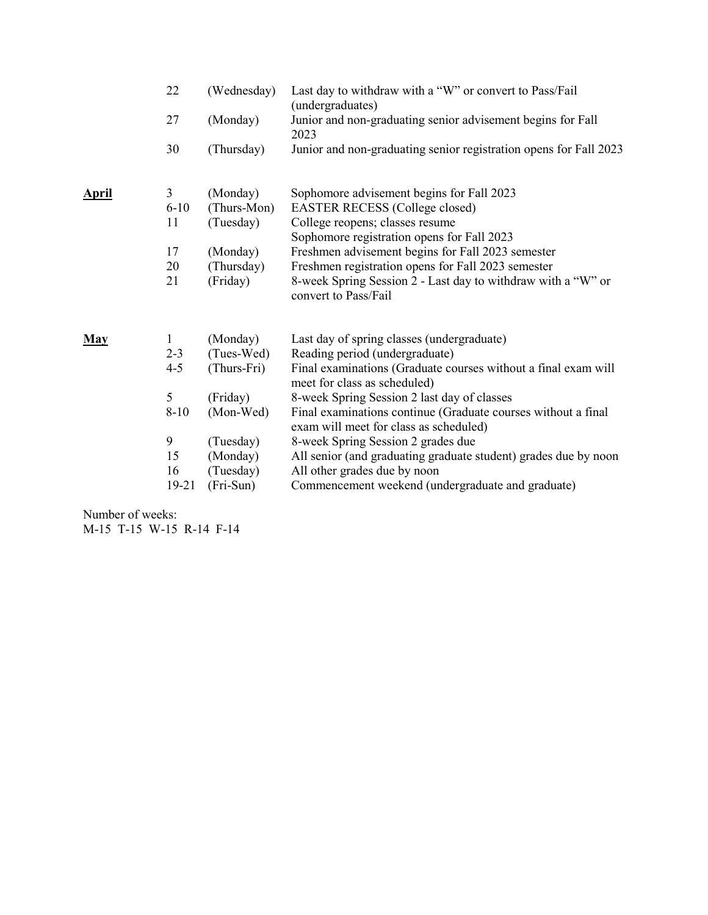|              | 22<br>27            | (Wednesday)<br>(Monday)              | Last day to withdraw with a "W" or convert to Pass/Fail<br>(undergraduates)<br>Junior and non-graduating senior advisement begins for Fall |
|--------------|---------------------|--------------------------------------|--------------------------------------------------------------------------------------------------------------------------------------------|
|              |                     |                                      | 2023                                                                                                                                       |
|              | 30                  | (Thursday)                           | Junior and non-graduating senior registration opens for Fall 2023                                                                          |
| <b>April</b> | 3<br>$6 - 10$<br>11 | (Monday)<br>(Thurs-Mon)<br>(Tuesday) | Sophomore advisement begins for Fall 2023<br><b>EASTER RECESS (College closed)</b><br>College reopens; classes resume                      |
|              | 17                  | (Monday)                             | Sophomore registration opens for Fall 2023<br>Freshmen advisement begins for Fall 2023 semester                                            |
|              | 20                  | (Thursday)                           | Freshmen registration opens for Fall 2023 semester                                                                                         |
|              | 21                  | (Friday)                             | 8-week Spring Session 2 - Last day to withdraw with a "W" or<br>convert to Pass/Fail                                                       |
| <b>May</b>   | 1                   | (Monday)                             | Last day of spring classes (undergraduate)                                                                                                 |
|              | $2 - 3$<br>$4 - 5$  | (Tues-Wed)<br>(Thurs-Fri)            | Reading period (undergraduate)<br>Final examinations (Graduate courses without a final exam will<br>meet for class as scheduled)           |
|              | 5                   | (Friday)                             | 8-week Spring Session 2 last day of classes                                                                                                |
|              | $8-10$              | (Mon-Wed)                            | Final examinations continue (Graduate courses without a final<br>exam will meet for class as scheduled)                                    |
|              | 9                   | (Tuesday)                            | 8-week Spring Session 2 grades due                                                                                                         |
|              | 15                  | (Monday)                             | All senior (and graduating graduate student) grades due by noon                                                                            |
|              | 16                  | (Tuesday)                            | All other grades due by noon                                                                                                               |
|              | 19-21               | $(Fri-Sun)$                          | Commencement weekend (undergraduate and graduate)                                                                                          |

Number of weeks: M-15 T-15 W-15 R-14 F-14